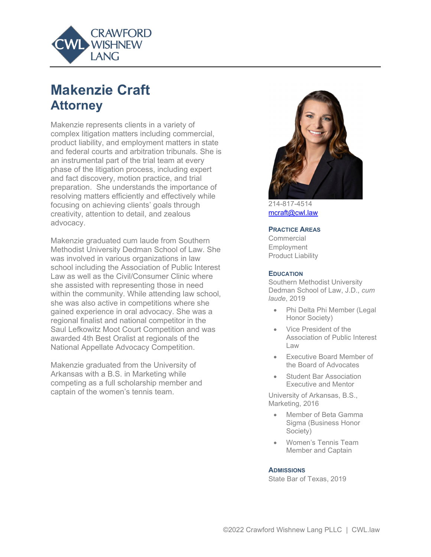

# **Makenzie Craft Attorney**

Makenzie represents clients in a variety of complex litigation matters including commercial, product liability, and employment matters in state and federal courts and arbitration tribunals. She is an instrumental part of the trial team at every phase of the litigation process, including expert and fact discovery, motion practice, and trial preparation. She understands the importance of resolving matters efficiently and effectively while focusing on achieving clients' goals through creativity, attention to detail, and zealous advocacy.

Makenzie graduated cum laude from Southern Methodist University Dedman School of Law. She was involved in various organizations in law school including the Association of Public Interest Law as well as the Civil/Consumer Clinic where she assisted with representing those in need within the community. While attending law school, she was also active in competitions where she gained experience in oral advocacy. She was a regional finalist and national competitor in the Saul Lefkowitz Moot Court Competition and was awarded 4th Best Oralist at regionals of the National Appellate Advocacy Competition.

Makenzie graduated from the University of Arkansas with a B.S. in Marketing while competing as a full scholarship member and captain of the women's tennis team.



214-817-4514 [mcraft@cwl.law](mailto:mcraft@cwl.law)

#### **PRACTICE AREAS**

Commercial Employment Product Liability

#### **EDUCATION**

Southern Methodist University Dedman School of Law, J.D., *cum laude*, 2019

- Phi Delta Phi Member (Legal Honor Society)
- Vice President of the Association of Public Interest Law
- Executive Board Member of the Board of Advocates
- Student Bar Association Executive and Mentor

University of Arkansas, B.S., Marketing, 2016

- Member of Beta Gamma Sigma (Business Honor Society)
- Women's Tennis Team Member and Captain

#### **ADMISSIONS**

State Bar of Texas, 2019